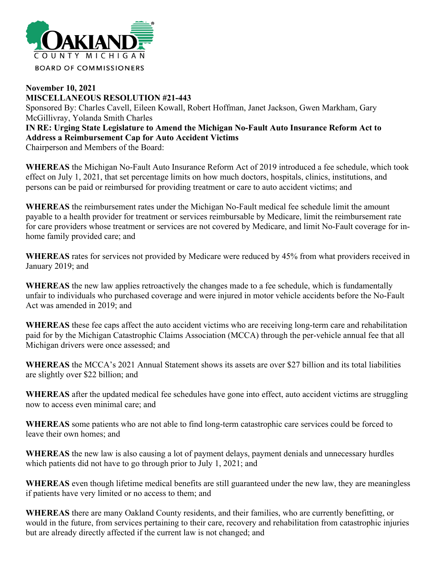

## **November 10, 2021 MISCELLANEOUS RESOLUTION #21-443** Sponsored By: Charles Cavell, Eileen Kowall, Robert Hoffman, Janet Jackson, Gwen Markham, Gary McGillivray, Yolanda Smith Charles **IN RE: Urging State Legislature to Amend the Michigan No-Fault Auto Insurance Reform Act to Address a Reimbursement Cap for Auto Accident Victims**

Chairperson and Members of the Board:

**WHEREAS** the Michigan No-Fault Auto Insurance Reform Act of 2019 introduced a fee schedule, which took effect on July 1, 2021, that set percentage limits on how much doctors, hospitals, clinics, institutions, and persons can be paid or reimbursed for providing treatment or care to auto accident victims; and

**WHEREAS** the reimbursement rates under the Michigan No-Fault medical fee schedule limit the amount payable to a health provider for treatment or services reimbursable by Medicare, limit the reimbursement rate for care providers whose treatment or services are not covered by Medicare, and limit No-Fault coverage for inhome family provided care; and

**WHEREAS** rates for services not provided by Medicare were reduced by 45% from what providers received in January 2019; and

**WHEREAS** the new law applies retroactively the changes made to a fee schedule, which is fundamentally unfair to individuals who purchased coverage and were injured in motor vehicle accidents before the No-Fault Act was amended in 2019; and

**WHEREAS** these fee caps affect the auto accident victims who are receiving long-term care and rehabilitation paid for by the Michigan Catastrophic Claims Association (MCCA) through the per-vehicle annual fee that all Michigan drivers were once assessed; and

**WHEREAS** the MCCA's 2021 Annual Statement shows its assets are over \$27 billion and its total liabilities are slightly over \$22 billion; and

**WHEREAS** after the updated medical fee schedules have gone into effect, auto accident victims are struggling now to access even minimal care; and

**WHEREAS** some patients who are not able to find long-term catastrophic care services could be forced to leave their own homes; and

**WHEREAS** the new law is also causing a lot of payment delays, payment denials and unnecessary hurdles which patients did not have to go through prior to July 1, 2021; and

**WHEREAS** even though lifetime medical benefits are still guaranteed under the new law, they are meaningless if patients have very limited or no access to them; and

**WHEREAS** there are many Oakland County residents, and their families, who are currently benefitting, or would in the future, from services pertaining to their care, recovery and rehabilitation from catastrophic injuries but are already directly affected if the current law is not changed; and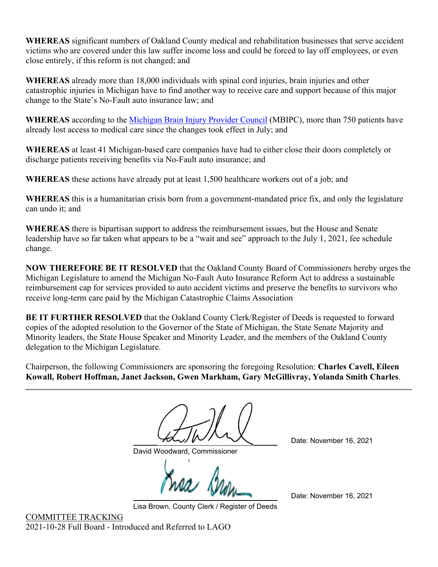**WHEREAS** significant numbers of Oakland County medical and rehabilitation businesses that serve accident victims who are covered under this law suffer income loss and could be forced to lay off employees, or even close entirely, if this reform is not changed; and

**WHEREAS** already more than 18,000 individuals with spinal cord injuries, brain injuries and other catastrophic injuries in Michigan have to find another way to receive care and support because of this major change to the State's No-Fault auto insurance law; and

**WHEREAS** according to the [Michigan Brain Injury Provider Council](https://www.mbipc.org/dashboard) (MBIPC), more than 750 patients have already lost access to medical care since the changes took effect in July; and

**WHEREAS** at least 41 Michigan-based care companies have had to either close their doors completely or discharge patients receiving benefits via No-Fault auto insurance; and

**WHEREAS** these actions have already put at least 1,500 healthcare workers out of a job; and

**WHEREAS** this is a humanitarian crisis born from a government-mandated price fix, and only the legislature can undo it; and

**WHEREAS** there is bipartisan support to address the reimbursement issues, but the House and Senate leadership have so far taken what appears to be a "wait and see" approach to the July 1, 2021, fee schedule change.

**NOW THEREFORE BE IT RESOLVED** that the Oakland County Board of Commissioners hereby urges the Michigan Legislature to amend the Michigan No-Fault Auto Insurance Reform Act to address a sustainable reimbursement cap for services provided to auto accident victims and preserve the benefits to survivors who receive long-term care paid by the Michigan Catastrophic Claims Association

**BE IT FURTHER RESOLVED** that the Oakland County Clerk/Register of Deeds is requested to forward copies of the adopted resolution to the Governor of the State of Michigan, the State Senate Majority and Minority leaders, the State House Speaker and Minority Leader, and the members of the Oakland County delegation to the Michigan Legislature.

Chairperson, the following Commissioners are sponsoring the foregoing Resolution: **Charles Cavell, Eileen Kowall, Robert Hoffman, Janet Jackson, Gwen Markham, Gary McGillivray, Yolanda Smith Charles**.

David Woodward, Commissioner

Date: November 16, 2021

Date: November 16, 2021

Lisa Brown, County Clerk / Register of Deeds

COMMITTEE TRACKING 2021-10-28 Full Board - Introduced and Referred to LAGO